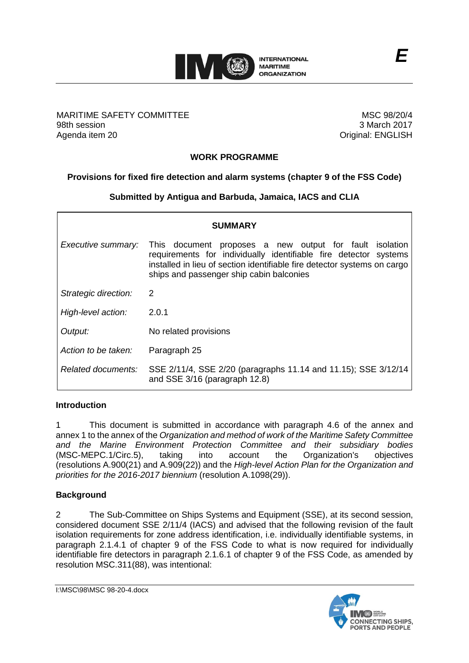

# MARITIME SAFETY COMMITTEE 98th session Agenda item 20

MSC 98/20/4 3 March 2017 Original: ENGLISH

# **WORK PROGRAMME**

# **Provisions for fixed fire detection and alarm systems (chapter 9 of the FSS Code)**

# **Submitted by Antigua and Barbuda, Jamaica, IACS and CLIA**

|                      | <b>SUMMARY</b>                                                                                                                                                                                                                                      |
|----------------------|-----------------------------------------------------------------------------------------------------------------------------------------------------------------------------------------------------------------------------------------------------|
| Executive summary:   | This document proposes a new output for fault isolation<br>requirements for individually identifiable fire detector systems<br>installed in lieu of section identifiable fire detector systems on cargo<br>ships and passenger ship cabin balconies |
| Strategic direction: | 2                                                                                                                                                                                                                                                   |
| High-level action:   | 2.0.1                                                                                                                                                                                                                                               |
| Output:              | No related provisions                                                                                                                                                                                                                               |
| Action to be taken:  | Paragraph 25                                                                                                                                                                                                                                        |
| Related documents:   | SSE 2/11/4, SSE 2/20 (paragraphs 11.14 and 11.15); SSE 3/12/14<br>and SSE 3/16 (paragraph 12.8)                                                                                                                                                     |

# **Introduction**

1 This document is submitted in accordance with paragraph 4.6 of the annex and annex 1 to the annex of the *Organization and method of work of the Maritime Safety Committee and the Marine Environment Protection Committee and their subsidiary bodies*  (MSC-MEPC.1/Circ.5), taking into account the Organization's objectives (resolutions A.900(21) and A.909(22)) and the *High-level Action Plan for the Organization and priorities for the 2016-2017 biennium* (resolution A.1098(29)).

# **Background**

2 The Sub-Committee on Ships Systems and Equipment (SSE), at its second session, considered document SSE 2/11/4 (IACS) and advised that the following revision of the fault isolation requirements for zone address identification, i.e. individually identifiable systems, in paragraph 2.1.4.1 of chapter 9 of the FSS Code to what is now required for individually identifiable fire detectors in paragraph 2.1.6.1 of chapter 9 of the FSS Code, as amended by resolution MSC.311(88), was intentional:

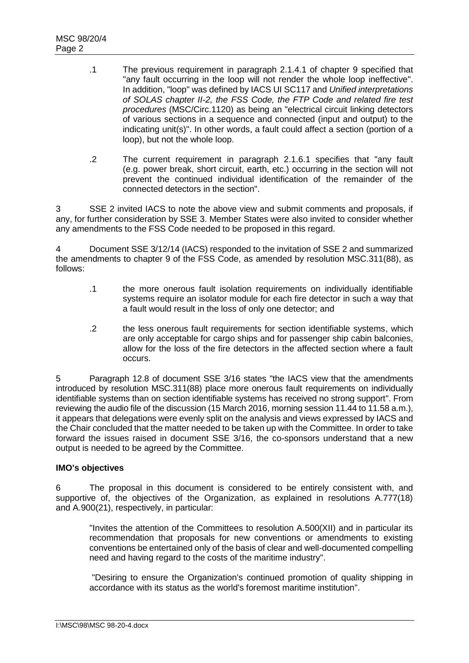- .1 The previous requirement in paragraph 2.1.4.1 of chapter 9 specified that "any fault occurring in the loop will not render the whole loop ineffective". In addition, "loop" was defined by IACS UI SC117 and *Unified interpretations of SOLAS chapter II-2, the FSS Code, the FTP Code and related fire test procedures* (MSC/Circ.1120) as being an "electrical circuit linking detectors of various sections in a sequence and connected (input and output) to the indicating unit(s)". In other words, a fault could affect a section (portion of a loop), but not the whole loop.
- .2 The current requirement in paragraph 2.1.6.1 specifies that "any fault (e.g. power break, short circuit, earth, etc.) occurring in the section will not prevent the continued individual identification of the remainder of the connected detectors in the section".

3 SSE 2 invited IACS to note the above view and submit comments and proposals, if any, for further consideration by SSE 3. Member States were also invited to consider whether any amendments to the FSS Code needed to be proposed in this regard.

4 Document SSE 3/12/14 (IACS) responded to the invitation of SSE 2 and summarized the amendments to chapter 9 of the FSS Code, as amended by resolution MSC.311(88), as follows:

- .1 the more onerous fault isolation requirements on individually identifiable systems require an isolator module for each fire detector in such a way that a fault would result in the loss of only one detector; and
- .2 the less onerous fault requirements for section identifiable systems, which are only acceptable for cargo ships and for passenger ship cabin balconies, allow for the loss of the fire detectors in the affected section where a fault occurs.

5 Paragraph 12.8 of document SSE 3/16 states "the IACS view that the amendments introduced by resolution MSC.311(88) place more onerous fault requirements on individually identifiable systems than on section identifiable systems has received no strong support". From reviewing the audio file of the discussion (15 March 2016, morning session 11.44 to 11.58 a.m.), it appears that delegations were evenly split on the analysis and views expressed by IACS and the Chair concluded that the matter needed to be taken up with the Committee. In order to take forward the issues raised in document SSE 3/16, the co-sponsors understand that a new output is needed to be agreed by the Committee.

# **IMO's objectives**

6 The proposal in this document is considered to be entirely consistent with, and supportive of, the objectives of the Organization, as explained in resolutions A.777(18) and A.900(21), respectively, in particular:

"Invites the attention of the Committees to resolution A.500(XII) and in particular its recommendation that proposals for new conventions or amendments to existing conventions be entertained only of the basis of clear and well-documented compelling need and having regard to the costs of the maritime industry".

"Desiring to ensure the Organization's continued promotion of quality shipping in accordance with its status as the world's foremost maritime institution".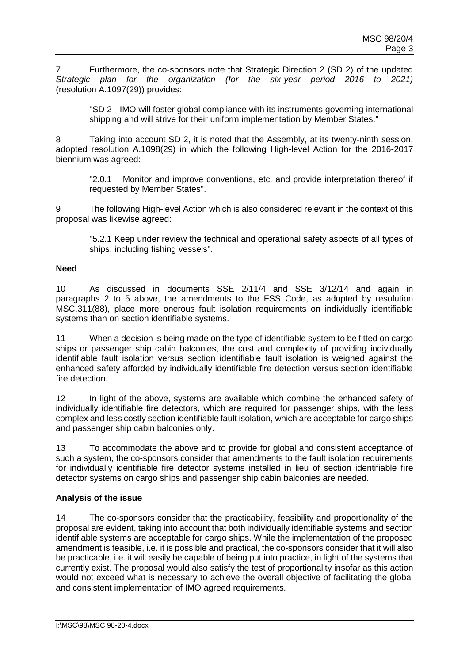7 Furthermore, the co-sponsors note that Strategic Direction 2 (SD 2) of the updated *Strategic plan for the organization (for the six-year period 2016 to 2021)* (resolution A.1097(29)) provides:

"SD 2 - IMO will foster global compliance with its instruments governing international shipping and will strive for their uniform implementation by Member States."

8 Taking into account SD 2, it is noted that the Assembly, at its twenty-ninth session, adopted resolution A.1098(29) in which the following High-level Action for the 2016-2017 biennium was agreed:

"2.0.1 Monitor and improve conventions, etc. and provide interpretation thereof if requested by Member States".

9 The following High-level Action which is also considered relevant in the context of this proposal was likewise agreed:

"5.2.1 Keep under review the technical and operational safety aspects of all types of ships, including fishing vessels".

# **Need**

10 As discussed in documents SSE 2/11/4 and SSE 3/12/14 and again in paragraphs 2 to 5 above, the amendments to the FSS Code, as adopted by resolution MSC.311(88), place more onerous fault isolation requirements on individually identifiable systems than on section identifiable systems.

11 When a decision is being made on the type of identifiable system to be fitted on cargo ships or passenger ship cabin balconies, the cost and complexity of providing individually identifiable fault isolation versus section identifiable fault isolation is weighed against the enhanced safety afforded by individually identifiable fire detection versus section identifiable fire detection.

12 In light of the above, systems are available which combine the enhanced safety of individually identifiable fire detectors, which are required for passenger ships, with the less complex and less costly section identifiable fault isolation, which are acceptable for cargo ships and passenger ship cabin balconies only.

13 To accommodate the above and to provide for global and consistent acceptance of such a system, the co-sponsors consider that amendments to the fault isolation requirements for individually identifiable fire detector systems installed in lieu of section identifiable fire detector systems on cargo ships and passenger ship cabin balconies are needed.

# **Analysis of the issue**

14 The co-sponsors consider that the practicability, feasibility and proportionality of the proposal are evident, taking into account that both individually identifiable systems and section identifiable systems are acceptable for cargo ships. While the implementation of the proposed amendment is feasible, i.e. it is possible and practical, the co-sponsors consider that it will also be practicable, i.e. it will easily be capable of being put into practice, in light of the systems that currently exist. The proposal would also satisfy the test of proportionality insofar as this action would not exceed what is necessary to achieve the overall objective of facilitating the global and consistent implementation of IMO agreed requirements.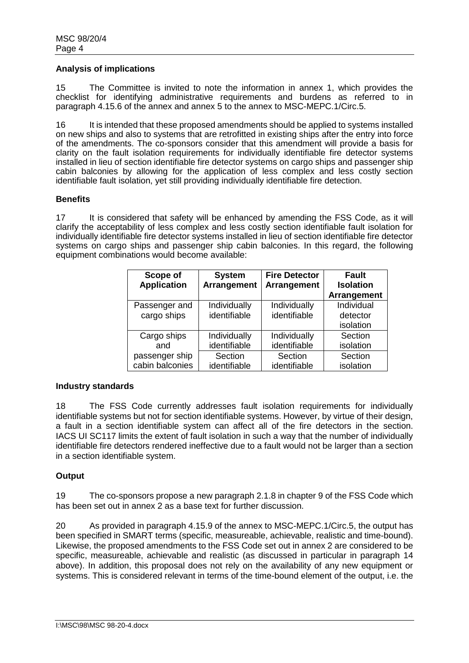#### **Analysis of implications**

15 The Committee is invited to note the information in annex 1, which provides the checklist for identifying administrative requirements and burdens as referred to in paragraph 4.15.6 of the annex and annex 5 to the annex to MSC-MEPC.1/Circ.5.

16 It is intended that these proposed amendments should be applied to systems installed on new ships and also to systems that are retrofitted in existing ships after the entry into force of the amendments. The co-sponsors consider that this amendment will provide a basis for clarity on the fault isolation requirements for individually identifiable fire detector systems installed in lieu of section identifiable fire detector systems on cargo ships and passenger ship cabin balconies by allowing for the application of less complex and less costly section identifiable fault isolation, yet still providing individually identifiable fire detection.

# **Benefits**

17 It is considered that safety will be enhanced by amending the FSS Code, as it will clarify the acceptability of less complex and less costly section identifiable fault isolation for individually identifiable fire detector systems installed in lieu of section identifiable fire detector systems on cargo ships and passenger ship cabin balconies. In this regard, the following equipment combinations would become available:

| Scope of           | <b>System</b> | <b>Fire Detector</b> | <b>Fault</b>       |
|--------------------|---------------|----------------------|--------------------|
| <b>Application</b> | Arrangement   | Arrangement          | <b>Isolation</b>   |
|                    |               |                      | <b>Arrangement</b> |
| Passenger and      | Individually  | Individually         | Individual         |
| cargo ships        | identifiable  | identifiable         | detector           |
|                    |               |                      | isolation          |
| Cargo ships        | Individually  | Individually         | Section            |
| and                | identifiable  | identifiable         | isolation          |
| passenger ship     | Section       | Section              | Section            |
| cabin balconies    | identifiable  | identifiable         | isolation          |

# **Industry standards**

18 The FSS Code currently addresses fault isolation requirements for individually identifiable systems but not for section identifiable systems. However, by virtue of their design, a fault in a section identifiable system can affect all of the fire detectors in the section. IACS UI SC117 limits the extent of fault isolation in such a way that the number of individually identifiable fire detectors rendered ineffective due to a fault would not be larger than a section in a section identifiable system.

# **Output**

19 The co-sponsors propose a new paragraph 2.1.8 in chapter 9 of the FSS Code which has been set out in annex 2 as a base text for further discussion.

20 As provided in paragraph 4.15.9 of the annex to MSC-MEPC.1/Circ.5, the output has been specified in SMART terms (specific, measureable, achievable, realistic and time-bound). Likewise, the proposed amendments to the FSS Code set out in annex 2 are considered to be specific, measureable, achievable and realistic (as discussed in particular in paragraph 14 above). In addition, this proposal does not rely on the availability of any new equipment or systems. This is considered relevant in terms of the time-bound element of the output, i.e. the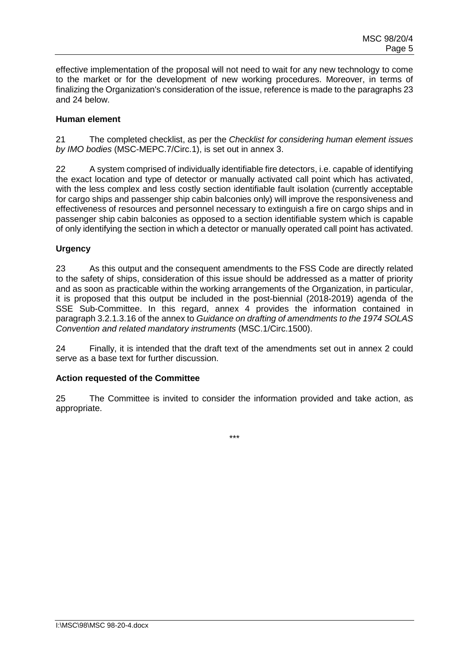effective implementation of the proposal will not need to wait for any new technology to come to the market or for the development of new working procedures. Moreover, in terms of finalizing the Organization's consideration of the issue, reference is made to the paragraphs 23 and 24 below.

# **Human element**

21 The completed checklist, as per the *Checklist for considering human element issues by IMO bodies* (MSC-MEPC.7/Circ.1), is set out in annex 3.

22 A system comprised of individually identifiable fire detectors, i.e. capable of identifying the exact location and type of detector or manually activated call point which has activated, with the less complex and less costly section identifiable fault isolation (currently acceptable for cargo ships and passenger ship cabin balconies only) will improve the responsiveness and effectiveness of resources and personnel necessary to extinguish a fire on cargo ships and in passenger ship cabin balconies as opposed to a section identifiable system which is capable of only identifying the section in which a detector or manually operated call point has activated.

# **Urgency**

23 As this output and the consequent amendments to the FSS Code are directly related to the safety of ships, consideration of this issue should be addressed as a matter of priority and as soon as practicable within the working arrangements of the Organization, in particular, it is proposed that this output be included in the post-biennial (2018-2019) agenda of the SSE Sub-Committee. In this regard, annex 4 provides the information contained in paragraph 3.2.1.3.16 of the annex to *Guidance on drafting of amendments to the 1974 SOLAS Convention and related mandatory instruments* (MSC.1/Circ.1500).

24 Finally, it is intended that the draft text of the amendments set out in annex 2 could serve as a base text for further discussion.

# **Action requested of the Committee**

25 The Committee is invited to consider the information provided and take action, as appropriate.

\*\*\*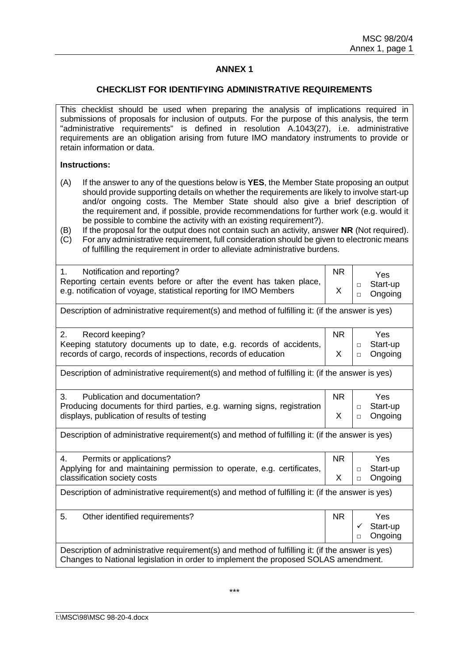# **ANNEX 1**

#### **CHECKLIST FOR IDENTIFYING ADMINISTRATIVE REQUIREMENTS**

This checklist should be used when preparing the analysis of implications required in submissions of proposals for inclusion of outputs. For the purpose of this analysis, the term "administrative requirements" is defined in resolution A.1043(27), i.e. administrative requirements are an obligation arising from future IMO mandatory instruments to provide or retain information or data.

#### **Instructions:**

- (A) If the answer to any of the questions below is **YES**, the Member State proposing an output should provide supporting details on whether the requirements are likely to involve start-up and/or ongoing costs. The Member State should also give a brief description of the requirement and, if possible, provide recommendations for further work (e.g. would it be possible to combine the activity with an existing requirement?).
- (B) If the proposal for the output does not contain such an activity, answer **NR** (Not required). (C) For any administrative requirement, full consideration should be given to electronic means
- of fulfilling the requirement in order to alleviate administrative burdens.

| Notification and reporting?<br>1.<br>Reporting certain events before or after the event has taken place,<br>e.g. notification of voyage, statistical reporting for IMO Members          | <b>NR</b><br>X | <b>Yes</b><br>Start-up<br>$\Box$<br>Ongoing<br>$\Box$ |
|-----------------------------------------------------------------------------------------------------------------------------------------------------------------------------------------|----------------|-------------------------------------------------------|
| Description of administrative requirement(s) and method of fulfilling it: (if the answer is yes)                                                                                        |                |                                                       |
| 2.<br>Record keeping?<br>Keeping statutory documents up to date, e.g. records of accidents,<br>records of cargo, records of inspections, records of education                           | <b>NR</b><br>X | Yes<br>Start-up<br>$\Box$<br>Ongoing<br>$\Box$        |
| Description of administrative requirement(s) and method of fulfilling it: (if the answer is yes)                                                                                        |                |                                                       |
| 3.<br>Publication and documentation?<br>Producing documents for third parties, e.g. warning signs, registration<br>displays, publication of results of testing                          | <b>NR</b><br>X | Yes<br>Start-up<br>$\Box$<br>Ongoing<br>$\Box$        |
| Description of administrative requirement(s) and method of fulfilling it: (if the answer is yes)                                                                                        |                |                                                       |
| Permits or applications?<br>4.<br>Applying for and maintaining permission to operate, e.g. certificates,<br>classification society costs                                                | <b>NR</b><br>X | <b>Yes</b><br>Start-up<br>$\Box$<br>Ongoing<br>$\Box$ |
| Description of administrative requirement(s) and method of fulfilling it: (if the answer is yes)                                                                                        |                |                                                       |
| 5.<br>Other identified requirements?                                                                                                                                                    | <b>NR</b>      | <b>Yes</b><br>Start-up<br>✓<br>Ongoing<br>$\Box$      |
| Description of administrative requirement(s) and method of fulfilling it: (if the answer is yes)<br>Changes to National legislation in order to implement the proposed SOLAS amendment. |                |                                                       |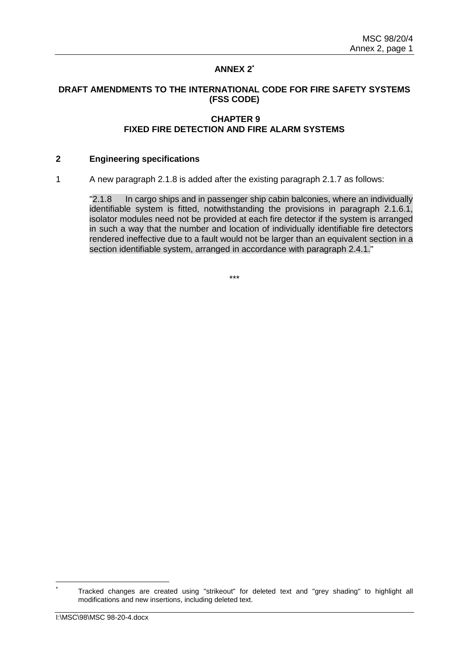# **ANNEX 2\***

### **DRAFT AMENDMENTS TO THE INTERNATIONAL CODE FOR FIRE SAFETY SYSTEMS (FSS CODE)**

### **CHAPTER 9 FIXED FIRE DETECTION AND FIRE ALARM SYSTEMS**

#### **2 Engineering specifications**

1 A new paragraph 2.1.8 is added after the existing paragraph 2.1.7 as follows:

"2.1.8 In cargo ships and in passenger ship cabin balconies, where an individually identifiable system is fitted, notwithstanding the provisions in paragraph 2.1.6.1, isolator modules need not be provided at each fire detector if the system is arranged in such a way that the number and location of individually identifiable fire detectors rendered ineffective due to a fault would not be larger than an equivalent section in a section identifiable system, arranged in accordance with paragraph 2.4.1."

\*\*\*

Tracked changes are created using "strikeout" for deleted text and "grey shading" to highlight all modifications and new insertions, including deleted text.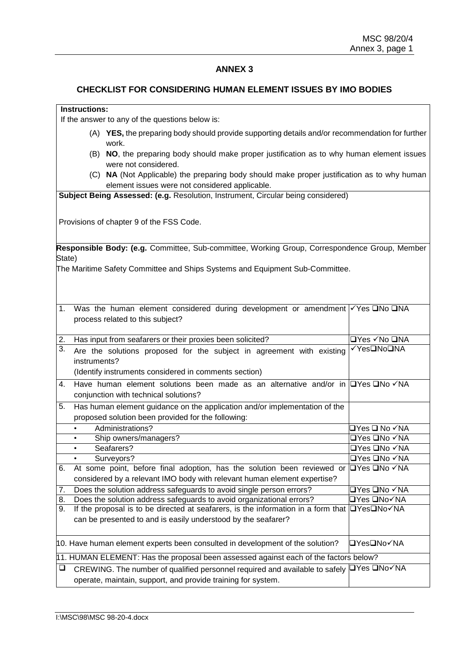# **ANNEX 3**

### **CHECKLIST FOR CONSIDERING HUMAN ELEMENT ISSUES BY IMO BODIES**

# **Instructions:**

If the answer to any of the questions below is:

- (A) **YES,** the preparing body should provide supporting details and/or recommendation for further work.
- (B) **NO**, the preparing body should make proper justification as to why human element issues were not considered.
- (C) **NA** (Not Applicable) the preparing body should make proper justification as to why human element issues were not considered applicable.

**Subject Being Assessed: (e.g.** Resolution, Instrument, Circular being considered)

Provisions of chapter 9 of the FSS Code.

**Responsible Body: (e.g.** Committee, Sub-committee, Working Group, Correspondence Group, Member State)

The Maritime Safety Committee and Ships Systems and Equipment Sub-Committee.

| 1.     | Was the human element considered during development or amendment $\sqrt{Y}$ es $\Box$ No $\Box$ NA<br>process related to this subject?                 |                                      |
|--------|--------------------------------------------------------------------------------------------------------------------------------------------------------|--------------------------------------|
| 2.     | Has input from seafarers or their proxies been solicited?                                                                                              | <b>□Yes √No □NA</b>                  |
| 3.     | Are the solutions proposed for the subject in agreement with existing<br>instruments?<br>(Identify instruments considered in comments section)         | √Yes□No□NA                           |
| 4.     | Have human element solutions been made as an alternative and/or in $\square$ Yes $\square$ No $\checkmark$ NA<br>conjunction with technical solutions? |                                      |
| 5.     | Has human element guidance on the application and/or implementation of the<br>proposed solution been provided for the following:                       |                                      |
|        | Administrations?<br>$\bullet$                                                                                                                          | □Yes ❑ No ✓NA                        |
|        | Ship owners/managers?<br>$\bullet$                                                                                                                     | <b>□Yes □No √NA</b>                  |
|        | Seafarers?<br>$\bullet$                                                                                                                                | $\Box$ Yes $\Box$ No $\checkmark$ NA |
|        | Surveyors?<br>$\bullet$                                                                                                                                | $\Box$ Yes $\Box$ No $\checkmark$ NA |
| 6.     | At some point, before final adoption, has the solution been reviewed or                                                                                | l⊟Yes ⊟No √NA                        |
|        | considered by a relevant IMO body with relevant human element expertise?                                                                               |                                      |
| 7.     | Does the solution address safeguards to avoid single person errors?                                                                                    | <b>OYes ONo √NA</b>                  |
| 8.     | Does the solution address safeguards to avoid organizational errors?                                                                                   | □Yes ❑No√NA                          |
| 9.     | If the proposal is to be directed at seafarers, is the information in a form that $\square$ Yes $\square$ No $\square$ Yek                             |                                      |
|        | can be presented to and is easily understood by the seafarer?                                                                                          |                                      |
|        | 10. Have human element experts been consulted in development of the solution?                                                                          | l⊒Yes❑No√NA                          |
|        | 11. HUMAN ELEMENT: Has the proposal been assessed against each of the factors below?                                                                   |                                      |
| $\Box$ | CREWING. The number of qualified personnel required and available to safely □Yes □No√NA                                                                |                                      |
|        | operate, maintain, support, and provide training for system.                                                                                           |                                      |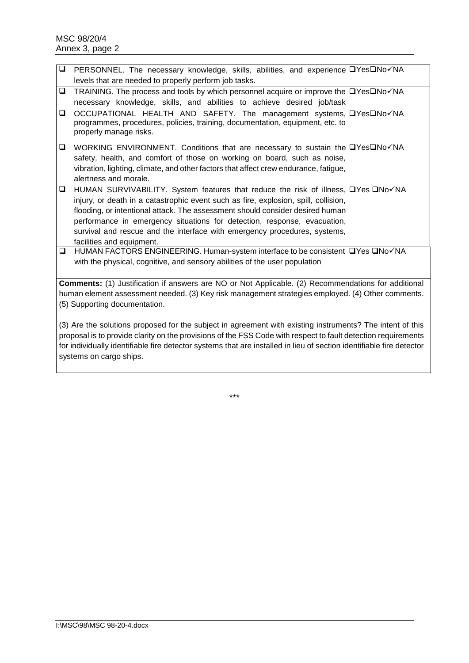| $\Box$                                                                                            |                                                                                                            |
|---------------------------------------------------------------------------------------------------|------------------------------------------------------------------------------------------------------------|
|                                                                                                   | PERSONNEL. The necessary knowledge, skills, abilities, and experience IYesINo√NA                           |
|                                                                                                   | levels that are needed to properly perform job tasks.                                                      |
| ❏                                                                                                 | TRAINING. The process and tools by which personnel acquire or improve the □Yes□No√NA                       |
|                                                                                                   | necessary knowledge, skills, and abilities to achieve desired job/task                                     |
| ❏                                                                                                 | OCCUPATIONAL HEALTH AND SAFETY. The management systems, <b>DYesDNo</b> VNA                                 |
|                                                                                                   | programmes, procedures, policies, training, documentation, equipment, etc. to                              |
|                                                                                                   | properly manage risks.                                                                                     |
|                                                                                                   |                                                                                                            |
| ❏                                                                                                 | WORKING ENVIRONMENT. Conditions that are necessary to sustain the <b>DYesDNo</b> √NA                       |
|                                                                                                   | safety, health, and comfort of those on working on board, such as noise,                                   |
|                                                                                                   | vibration, lighting, climate, and other factors that affect crew endurance, fatigue,                       |
|                                                                                                   | alertness and morale.                                                                                      |
|                                                                                                   |                                                                                                            |
| ❏                                                                                                 | HUMAN SURVIVABILITY. System features that reduce the risk of illness, <b>NASK SURVIVAN</b>                 |
|                                                                                                   | injury, or death in a catastrophic event such as fire, explosion, spill, collision,                        |
|                                                                                                   | flooding, or intentional attack. The assessment should consider desired human                              |
|                                                                                                   | performance in emergency situations for detection, response, evacuation,                                   |
|                                                                                                   | survival and rescue and the interface with emergency procedures, systems,                                  |
|                                                                                                   | facilities and equipment.                                                                                  |
| ❏                                                                                                 | HUMAN FACTORS ENGINEERING. Human-system interface to be consistent □ Yes □ No VNA                          |
|                                                                                                   | with the physical, cognitive, and sensory abilities of the user population                                 |
|                                                                                                   |                                                                                                            |
|                                                                                                   |                                                                                                            |
|                                                                                                   | <b>Comments:</b> (1) Justification if answers are NO or Not Applicable. (2) Recommendations for additional |
| human element assessment needed. (3) Key risk management strategies employed. (4) Other comments. |                                                                                                            |
| (5) Supporting documentation.                                                                     |                                                                                                            |
|                                                                                                   |                                                                                                            |
|                                                                                                   | (3) Are the solutions proposed for the subject in agreement with existing instruments? The intent of this  |

proposal is to provide clarity on the provisions of the FSS Code with respect to fault detection requirements for individually identifiable fire detector systems that are installed in lieu of section identifiable fire detector systems on cargo ships.

\*\*\*